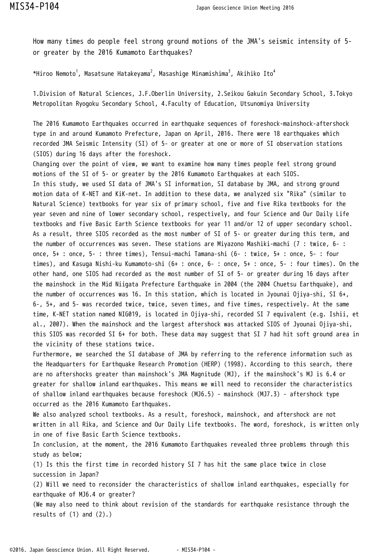How many times do people feel strong ground motions of the JMA's seismic intensity of 5 or greater by the 2016 Kumamoto Earthquakes?

\*Hiroo Nemoto $^1$ , Masatsune Hatakeyama $^2$ , Masashige Minamishima $^3$ , Akihiko Ito $^4$ 

1.Division of Natural Sciences, J.F.Oberlin University, 2.Seikou Gakuin Secondary School, 3.Tokyo Metropolitan Ryogoku Secondary School, 4.Faculty of Education, Utsunomiya University

The 2016 Kumamoto Earthquakes occurred in earthquake sequences of foreshock-mainshock-aftershock type in and around Kumamoto Prefecture, Japan on April, 2016. There were 18 earthquakes which recorded JMA Seismic Intensity (SI) of 5- or greater at one or more of SI observation stations (SIOS) during 16 days after the foreshock.

Changing over the point of view, we want to examine how many times people feel strong ground motions of the SI of 5- or greater by the 2016 Kumamoto Earthquakes at each SIOS. In this study, we used SI data of JMA's SI information, SI database by JMA, and strong ground motion data of K-NET and KiK-net. In addition to these data, we analyzed six "Rika" (similar to Natural Science) textbooks for year six of primary school, five and five Rika textbooks for the year seven and nine of lower secondary school, respectively, and four Science and Our Daily Life textbooks and five Basic Earth Science textbooks for year 11 and/or 12 of upper secondary school. As a result, three SIOS recorded as the most number of SI of 5- or greater during this term, and the number of occurrences was seven. These stations are Miyazono Mashiki-machi (7 : twice, 6- : once, 5+ : once, 5- : three times), Tensui-machi Tamana-shi (6- : twice, 5+ : once, 5- : four times), and Kasuga Nishi-ku Kumamoto-shi (6+ : once, 6- : once, 5+ : once, 5- : four times). On the other hand, one SIOS had recorded as the most number of SI of 5- or greater during 16 days after the mainshock in the Mid Niigata Prefecture Earthquake in 2004 (the 2004 Chuetsu Earthquake), and the number of occurrences was 16. In this station, which is located in Jyounai Ojiya-shi, SI 6+, 6-, 5+, and 5- was recorded twice, twice, seven times, and five times, respectively. At the same time, K-NET station named NIG019, is located in Ojiya-shi, recorded SI 7 equivalent (e.g. Ishii, et al., 2007). When the mainshock and the largest aftershock was attacked SIOS of Jyounai Ojiya-shi, this SIOS was recorded SI 6+ for both. These data may suggest that SI 7 had hit soft ground area in the vicinity of these stations twice.

Furthermore, we searched the SI database of JMA by referring to the reference information such as the Headquarters for Earthquake Research Promotion (HERP) (1998). According to this search, there are no aftershocks greater than mainshock's JMA Magnitude (MJ), if the mainshock's MJ is 6.4 or greater for shallow inland earthquakes. This means we will need to reconsider the characteristics of shallow inland earthquakes because foreshock (MJ6.5) - mainshock (MJ7.3) - aftershock type occurred as the 2016 Kumamoto Earthquakes.

We also analyzed school textbooks. As a result, foreshock, mainshock, and aftershock are not written in all Rika, and Science and Our Daily Life textbooks. The word, foreshock, is written only in one of five Basic Earth Science textbooks.

In conclusion, at the moment, the 2016 Kumamoto Earthquakes revealed three problems through this study as below;

(1) Is this the first time in recorded history SI 7 has hit the same place twice in close succession in Japan?

(2) Will we need to reconsider the characteristics of shallow inland earthquakes, especially for earthquake of MJ6.4 or greater?

(We may also need to think about revision of the standards for earthquake resistance through the results of (1) and (2).)